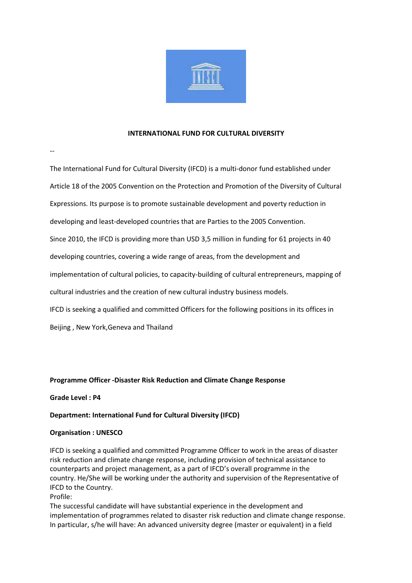

### INTERNATIONAL FUND FOR CULTURAL DIVERSITY

--

The International Fund for Cultural Diversity (IFCD) is a multi-donor fund established under Article 18 of the 2005 Convention on the Protection and Promotion of the Diversity of Cultural Expressions. Its purpose is to promote sustainable development and poverty reduction in developing and least-developed countries that are Parties to the 2005 Convention. Since 2010, the IFCD is providing more than USD 3,5 million in funding for 61 projects in 40 developing countries, covering a wide range of areas, from the development and implementation of cultural policies, to capacity-building of cultural entrepreneurs, mapping of cultural industries and the creation of new cultural industry business models. IFCD is seeking a qualified and committed Officers for the following positions in its offices in Beijing , New York,Geneva and Thailand

# Programme Officer -Disaster Risk Reduction and Climate Change Response

# Grade Level : P4

# Department: International Fund for Cultural Diversity (IFCD)

# Organisation : UNESCO

IFCD is seeking a qualified and committed Programme Officer to work in the areas of disaster risk reduction and climate change response, including provision of technical assistance to counterparts and project management, as a part of IFCD's overall programme in the country. He/She will be working under the authority and supervision of the Representative of IFCD to the Country.

Profile:

The successful candidate will have substantial experience in the development and implementation of programmes related to disaster risk reduction and climate change response. In particular, s/he will have: An advanced university degree (master or equivalent) in a field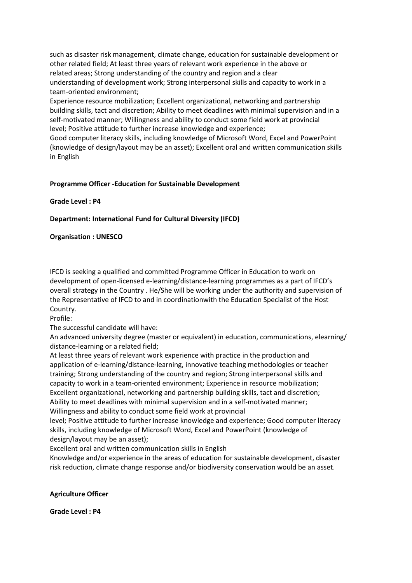such as disaster risk management, climate change, education for sustainable development or other related field; At least three years of relevant work experience in the above or related areas; Strong understanding of the country and region and a clear understanding of development work; Strong interpersonal skills and capacity to work in a team-oriented environment;

Experience resource mobilization; Excellent organizational, networking and partnership building skills, tact and discretion; Ability to meet deadlines with minimal supervision and in a self-motivated manner; Willingness and ability to conduct some field work at provincial level; Positive attitude to further increase knowledge and experience;

Good computer literacy skills, including knowledge of Microsoft Word, Excel and PowerPoint (knowledge of design/layout may be an asset); Excellent oral and written communication skills in English

# Programme Officer -Education for Sustainable Development

Grade Level : P4

# Department: International Fund for Cultural Diversity (IFCD)

# Organisation : UNESCO

IFCD is seeking a qualified and committed Programme Officer in Education to work on development of open-licensed e-learning/distance-learning programmes as a part of IFCD's overall strategy in the Country . He/She will be working under the authority and supervision of the Representative of IFCD to and in coordinationwith the Education Specialist of the Host Country.

Profile:

The successful candidate will have:

An advanced university degree (master or equivalent) in education, communications, elearning/ distance-learning or a related field;

At least three years of relevant work experience with practice in the production and application of e-learning/distance-learning, innovative teaching methodologies or teacher training; Strong understanding of the country and region; Strong interpersonal skills and capacity to work in a team-oriented environment; Experience in resource mobilization; Excellent organizational, networking and partnership building skills, tact and discretion; Ability to meet deadlines with minimal supervision and in a self-motivated manner; Willingness and ability to conduct some field work at provincial

level; Positive attitude to further increase knowledge and experience; Good computer literacy skills, including knowledge of Microsoft Word, Excel and PowerPoint (knowledge of design/layout may be an asset);

Excellent oral and written communication skills in English

Knowledge and/or experience in the areas of education for sustainable development, disaster risk reduction, climate change response and/or biodiversity conservation would be an asset.

# Agriculture Officer

Grade Level : P4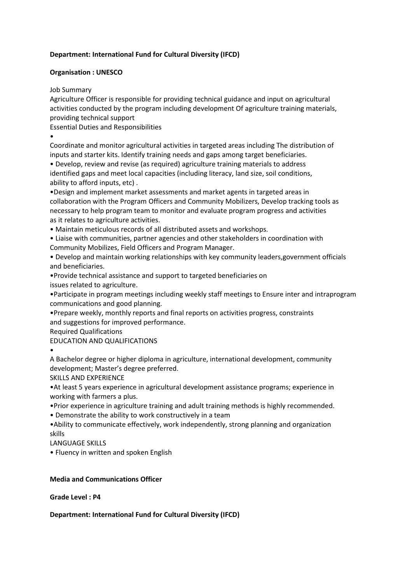# Department: International Fund for Cultural Diversity (IFCD)

# Organisation : UNESCO

Job Summary

Agriculture Officer is responsible for providing technical guidance and input on agricultural activities conducted by the program including development Of agriculture training materials, providing technical support

Essential Duties and Responsibilities

•

Coordinate and monitor agricultural activities in targeted areas including The distribution of inputs and starter kits. Identify training needs and gaps among target beneficiaries.

• Develop, review and revise (as required) agriculture training materials to address identified gaps and meet local capacities (including literacy, land size, soil conditions, ability to afford inputs, etc) .

•Design and implement market assessments and market agents in targeted areas in collaboration with the Program Officers and Community Mobilizers, Develop tracking tools as necessary to help program team to monitor and evaluate program progress and activities as it relates to agriculture activities.

• Maintain meticulous records of all distributed assets and workshops.

• Liaise with communities, partner agencies and other stakeholders in coordination with Community Mobilizes, Field Officers and Program Manager.

• Develop and maintain working relationships with key community leaders,government officials and beneficiaries.

•Provide technical assistance and support to targeted beneficiaries on issues related to agriculture.

•Participate in program meetings including weekly staff meetings to Ensure inter and intraprogram communications and good planning.

•Prepare weekly, monthly reports and final reports on activities progress, constraints and suggestions for improved performance.

Required Qualifications

EDUCATION AND QUALIFICATIONS

•

A Bachelor degree or higher diploma in agriculture, international development, community development; Master's degree preferred.

SKILLS AND EXPERIENCE

•At least 5 years experience in agricultural development assistance programs; experience in working with farmers a plus.

•Prior experience in agriculture training and adult training methods is highly recommended.

• Demonstrate the ability to work constructively in a team

•Ability to communicate effectively, work independently, strong planning and organization skills

LANGUAGE SKILLS

• Fluency in written and spoken English

# Media and Communications Officer

Grade Level : P4

Department: International Fund for Cultural Diversity (IFCD)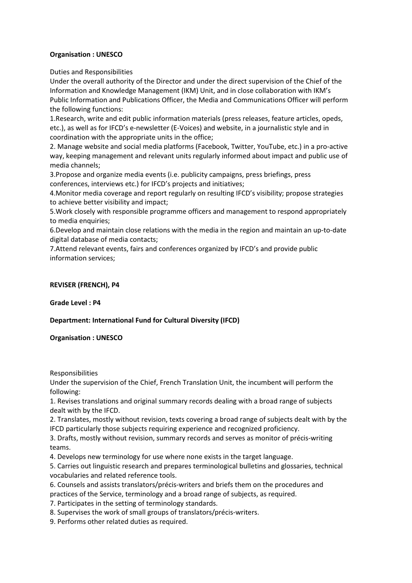# Organisation : UNESCO

Duties and Responsibilities

Under the overall authority of the Director and under the direct supervision of the Chief of the Information and Knowledge Management (IKM) Unit, and in close collaboration with IKM's Public Information and Publications Officer, the Media and Communications Officer will perform the following functions:

1.Research, write and edit public information materials (press releases, feature articles, opeds, etc.), as well as for IFCD's e-newsletter (E-Voices) and website, in a journalistic style and in coordination with the appropriate units in the office;

2. Manage website and social media platforms (Facebook, Twitter, YouTube, etc.) in a pro-active way, keeping management and relevant units regularly informed about impact and public use of media channels;

3.Propose and organize media events (i.e. publicity campaigns, press briefings, press conferences, interviews etc.) for IFCD's projects and initiatives;

4.Monitor media coverage and report regularly on resulting IFCD's visibility; propose strategies to achieve better visibility and impact;

5.Work closely with responsible programme officers and management to respond appropriately to media enquiries;

6.Develop and maintain close relations with the media in the region and maintain an up-to-date digital database of media contacts;

7.Attend relevant events, fairs and conferences organized by IFCD's and provide public information services;

# REVISER (FRENCH), P4

Grade Level : P4

# Department: International Fund for Cultural Diversity (IFCD)

Organisation : UNESCO

Responsibilities

Under the supervision of the Chief, French Translation Unit, the incumbent will perform the following:

1. Revises translations and original summary records dealing with a broad range of subjects dealt with by the IFCD.

2. Translates, mostly without revision, texts covering a broad range of subjects dealt with by the IFCD particularly those subjects requiring experience and recognized proficiency.

3. Drafts, mostly without revision, summary records and serves as monitor of précis-writing teams.

4. Develops new terminology for use where none exists in the target language.

5. Carries out linguistic research and prepares terminological bulletins and glossaries, technical vocabularies and related reference tools.

- 6. Counsels and assists translators/précis-writers and briefs them on the procedures and practices of the Service, terminology and a broad range of subjects, as required.
- 7. Participates in the setting of terminology standards.
- 8. Supervises the work of small groups of translators/précis-writers.
- 9. Performs other related duties as required.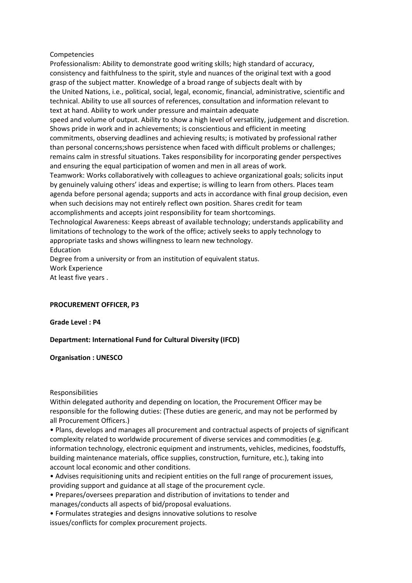### Competencies

Professionalism: Ability to demonstrate good writing skills; high standard of accuracy, consistency and faithfulness to the spirit, style and nuances of the original text with a good grasp of the subject matter. Knowledge of a broad range of subjects dealt with by the United Nations, i.e., political, social, legal, economic, financial, administrative, scientific and technical. Ability to use all sources of references, consultation and information relevant to text at hand. Ability to work under pressure and maintain adequate speed and volume of output. Ability to show a high level of versatility, judgement and discretion. Shows pride in work and in achievements; is conscientious and efficient in meeting commitments, observing deadlines and achieving results; is motivated by professional rather than personal concerns;shows persistence when faced with difficult problems or challenges; remains calm in stressful situations. Takes responsibility for incorporating gender perspectives and ensuring the equal participation of women and men in all areas of work. Teamwork: Works collaboratively with colleagues to achieve organizational goals; solicits input by genuinely valuing others' ideas and expertise; is willing to learn from others. Places team agenda before personal agenda; supports and acts in accordance with final group decision, even when such decisions may not entirely reflect own position. Shares credit for team accomplishments and accepts joint responsibility for team shortcomings. Technological Awareness: Keeps abreast of available technology; understands applicability and limitations of technology to the work of the office; actively seeks to apply technology to appropriate tasks and shows willingness to learn new technology. Education Degree from a university or from an institution of equivalent status. Work Experience

At least five years .

# PROCUREMENT OFFICER, P3

Grade Level : P4

# Department: International Fund for Cultural Diversity (IFCD)

Organisation : UNESCO

Responsibilities

Within delegated authority and depending on location, the Procurement Officer may be responsible for the following duties: (These duties are generic, and may not be performed by all Procurement Officers.)

• Plans, develops and manages all procurement and contractual aspects of projects of significant complexity related to worldwide procurement of diverse services and commodities (e.g. information technology, electronic equipment and instruments, vehicles, medicines, foodstuffs, building maintenance materials, office supplies, construction, furniture, etc.), taking into account local economic and other conditions.

• Advises requisitioning units and recipient entities on the full range of procurement issues, providing support and guidance at all stage of the procurement cycle.

• Prepares/oversees preparation and distribution of invitations to tender and manages/conducts all aspects of bid/proposal evaluations.

• Formulates strategies and designs innovative solutions to resolve issues/conflicts for complex procurement projects.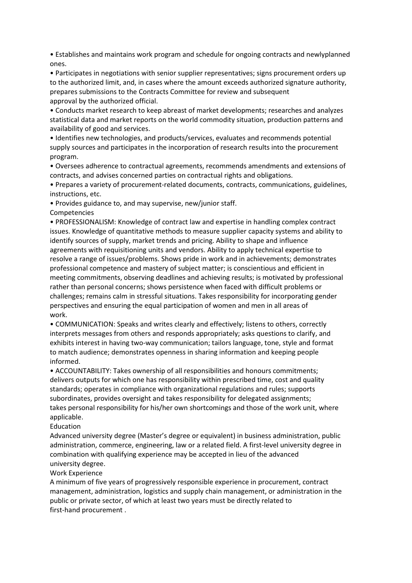• Establishes and maintains work program and schedule for ongoing contracts and newlyplanned ones.

• Participates in negotiations with senior supplier representatives; signs procurement orders up to the authorized limit, and, in cases where the amount exceeds authorized signature authority, prepares submissions to the Contracts Committee for review and subsequent approval by the authorized official.

• Conducts market research to keep abreast of market developments; researches and analyzes statistical data and market reports on the world commodity situation, production patterns and availability of good and services.

• Identifies new technologies, and products/services, evaluates and recommends potential supply sources and participates in the incorporation of research results into the procurement program.

• Oversees adherence to contractual agreements, recommends amendments and extensions of contracts, and advises concerned parties on contractual rights and obligations.

• Prepares a variety of procurement-related documents, contracts, communications, guidelines, instructions, etc.

• Provides guidance to, and may supervise, new/junior staff. Competencies

• PROFESSIONALISM: Knowledge of contract law and expertise in handling complex contract issues. Knowledge of quantitative methods to measure supplier capacity systems and ability to identify sources of supply, market trends and pricing. Ability to shape and influence agreements with requisitioning units and vendors. Ability to apply technical expertise to resolve a range of issues/problems. Shows pride in work and in achievements; demonstrates professional competence and mastery of subject matter; is conscientious and efficient in meeting commitments, observing deadlines and achieving results; is motivated by professional rather than personal concerns; shows persistence when faced with difficult problems or challenges; remains calm in stressful situations. Takes responsibility for incorporating gender perspectives and ensuring the equal participation of women and men in all areas of work.

• COMMUNICATION: Speaks and writes clearly and effectively; listens to others, correctly interprets messages from others and responds appropriately; asks questions to clarify, and exhibits interest in having two-way communication; tailors language, tone, style and format to match audience; demonstrates openness in sharing information and keeping people informed.

• ACCOUNTABILITY: Takes ownership of all responsibilities and honours commitments; delivers outputs for which one has responsibility within prescribed time, cost and quality standards; operates in compliance with organizational regulations and rules; supports subordinates, provides oversight and takes responsibility for delegated assignments; takes personal responsibility for his/her own shortcomings and those of the work unit, where applicable.

#### Education

Advanced university degree (Master's degree or equivalent) in business administration, public administration, commerce, engineering, law or a related field. A first-level university degree in combination with qualifying experience may be accepted in lieu of the advanced university degree.

# Work Experience

A minimum of five years of progressively responsible experience in procurement, contract management, administration, logistics and supply chain management, or administration in the public or private sector, of which at least two years must be directly related to first-hand procurement .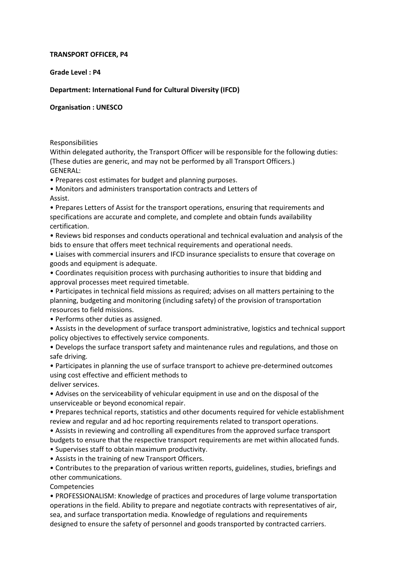### TRANSPORT OFFICER, P4

Grade Level : P4

# Department: International Fund for Cultural Diversity (IFCD)

Organisation : UNESCO

### Responsibilities

Within delegated authority, the Transport Officer will be responsible for the following duties: (These duties are generic, and may not be performed by all Transport Officers.) GENERAL:

• Prepares cost estimates for budget and planning purposes.

• Monitors and administers transportation contracts and Letters of Assist.

• Prepares Letters of Assist for the transport operations, ensuring that requirements and specifications are accurate and complete, and complete and obtain funds availability certification.

• Reviews bid responses and conducts operational and technical evaluation and analysis of the bids to ensure that offers meet technical requirements and operational needs.

• Liaises with commercial insurers and IFCD insurance specialists to ensure that coverage on goods and equipment is adequate.

• Coordinates requisition process with purchasing authorities to insure that bidding and approval processes meet required timetable.

• Participates in technical field missions as required; advises on all matters pertaining to the planning, budgeting and monitoring (including safety) of the provision of transportation resources to field missions.

• Performs other duties as assigned.

• Assists in the development of surface transport administrative, logistics and technical support policy objectives to effectively service components.

• Develops the surface transport safety and maintenance rules and regulations, and those on safe driving.

• Participates in planning the use of surface transport to achieve pre-determined outcomes using cost effective and efficient methods to deliver services.

• Advises on the serviceability of vehicular equipment in use and on the disposal of the unserviceable or beyond economical repair.

• Prepares technical reports, statistics and other documents required for vehicle establishment review and regular and ad hoc reporting requirements related to transport operations.

• Assists in reviewing and controlling all expenditures from the approved surface transport budgets to ensure that the respective transport requirements are met within allocated funds.

• Supervises staff to obtain maximum productivity.

• Assists in the training of new Transport Officers.

• Contributes to the preparation of various written reports, guidelines, studies, briefings and other communications.

Competencies

• PROFESSIONALISM: Knowledge of practices and procedures of large volume transportation operations in the field. Ability to prepare and negotiate contracts with representatives of air, sea, and surface transportation media. Knowledge of regulations and requirements designed to ensure the safety of personnel and goods transported by contracted carriers.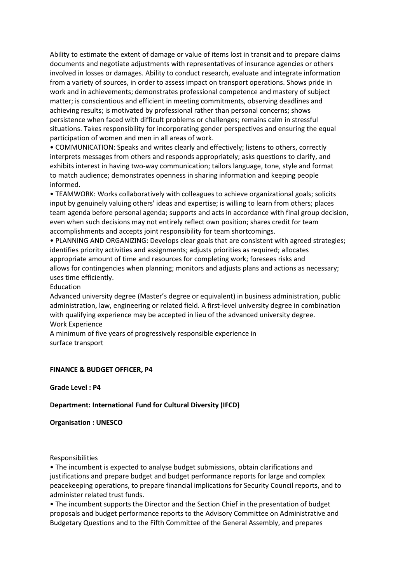Ability to estimate the extent of damage or value of items lost in transit and to prepare claims documents and negotiate adjustments with representatives of insurance agencies or others involved in losses or damages. Ability to conduct research, evaluate and integrate information from a variety of sources, in order to assess impact on transport operations. Shows pride in work and in achievements; demonstrates professional competence and mastery of subject matter; is conscientious and efficient in meeting commitments, observing deadlines and achieving results; is motivated by professional rather than personal concerns; shows persistence when faced with difficult problems or challenges; remains calm in stressful situations. Takes responsibility for incorporating gender perspectives and ensuring the equal participation of women and men in all areas of work.

• COMMUNICATION: Speaks and writes clearly and effectively; listens to others, correctly interprets messages from others and responds appropriately; asks questions to clarify, and exhibits interest in having two-way communication; tailors language, tone, style and format to match audience; demonstrates openness in sharing information and keeping people informed.

• TEAMWORK: Works collaboratively with colleagues to achieve organizational goals; solicits input by genuinely valuing others' ideas and expertise; is willing to learn from others; places team agenda before personal agenda; supports and acts in accordance with final group decision, even when such decisions may not entirely reflect own position; shares credit for team accomplishments and accepts joint responsibility for team shortcomings.

• PLANNING AND ORGANIZING: Develops clear goals that are consistent with agreed strategies; identifies priority activities and assignments; adjusts priorities as required; allocates appropriate amount of time and resources for completing work; foresees risks and allows for contingencies when planning; monitors and adjusts plans and actions as necessary; uses time efficiently.

Education

Advanced university degree (Master's degree or equivalent) in business administration, public administration, law, engineering or related field. A first-level university degree in combination with qualifying experience may be accepted in lieu of the advanced university degree. Work Experience

A minimum of five years of progressively responsible experience in surface transport

# FINANCE & BUDGET OFFICER, P4

Grade Level : P4

# Department: International Fund for Cultural Diversity (IFCD)

Organisation : UNESCO

Responsibilities

• The incumbent is expected to analyse budget submissions, obtain clarifications and justifications and prepare budget and budget performance reports for large and complex peacekeeping operations, to prepare financial implications for Security Council reports, and to administer related trust funds.

• The incumbent supports the Director and the Section Chief in the presentation of budget proposals and budget performance reports to the Advisory Committee on Administrative and Budgetary Questions and to the Fifth Committee of the General Assembly, and prepares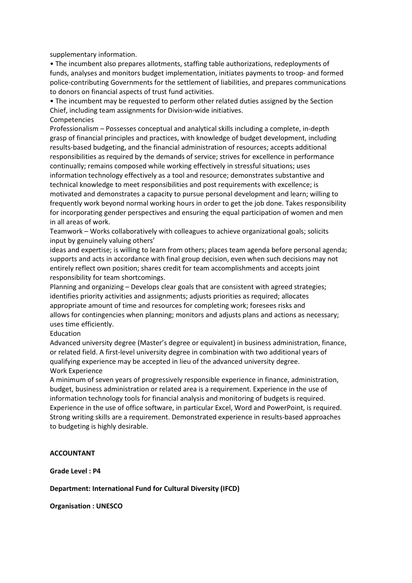supplementary information.

• The incumbent also prepares allotments, staffing table authorizations, redeployments of funds, analyses and monitors budget implementation, initiates payments to troop- and formed police-contributing Governments for the settlement of liabilities, and prepares communications to donors on financial aspects of trust fund activities.

• The incumbent may be requested to perform other related duties assigned by the Section Chief, including team assignments for Division-wide initiatives.

#### Competencies

Professionalism – Possesses conceptual and analytical skills including a complete, in-depth grasp of financial principles and practices, with knowledge of budget development, including results-based budgeting, and the financial administration of resources; accepts additional responsibilities as required by the demands of service; strives for excellence in performance continually; remains composed while working effectively in stressful situations; uses information technology effectively as a tool and resource; demonstrates substantive and technical knowledge to meet responsibilities and post requirements with excellence; is motivated and demonstrates a capacity to pursue personal development and learn; willing to frequently work beyond normal working hours in order to get the job done. Takes responsibility for incorporating gender perspectives and ensuring the equal participation of women and men in all areas of work.

Teamwork – Works collaboratively with colleagues to achieve organizational goals; solicits input by genuinely valuing others'

ideas and expertise; is willing to learn from others; places team agenda before personal agenda; supports and acts in accordance with final group decision, even when such decisions may not entirely reflect own position; shares credit for team accomplishments and accepts joint responsibility for team shortcomings.

Planning and organizing – Develops clear goals that are consistent with agreed strategies; identifies priority activities and assignments; adjusts priorities as required; allocates appropriate amount of time and resources for completing work; foresees risks and allows for contingencies when planning; monitors and adjusts plans and actions as necessary; uses time efficiently.

#### Education

Advanced university degree (Master's degree or equivalent) in business administration, finance, or related field. A first-level university degree in combination with two additional years of qualifying experience may be accepted in lieu of the advanced university degree. Work Experience

A minimum of seven years of progressively responsible experience in finance, administration, budget, business administration or related area is a requirement. Experience in the use of information technology tools for financial analysis and monitoring of budgets is required. Experience in the use of office software, in particular Excel, Word and PowerPoint, is required. Strong writing skills are a requirement. Demonstrated experience in results-based approaches to budgeting is highly desirable.

# ACCOUNTANT

Grade Level : P4

# Department: International Fund for Cultural Diversity (IFCD)

Organisation : UNESCO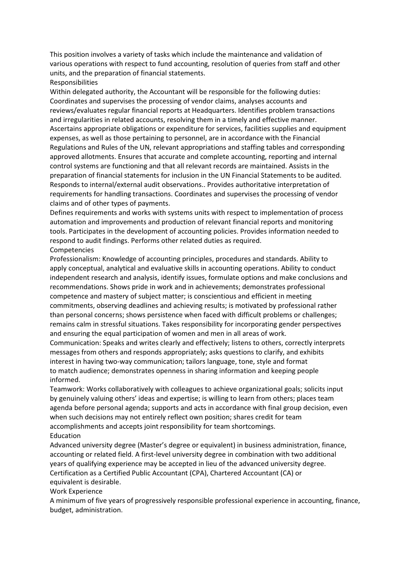This position involves a variety of tasks which include the maintenance and validation of various operations with respect to fund accounting, resolution of queries from staff and other units, and the preparation of financial statements.

# Responsibilities

Within delegated authority, the Accountant will be responsible for the following duties: Coordinates and supervises the processing of vendor claims, analyses accounts and reviews/evaluates regular financial reports at Headquarters. Identifies problem transactions and irregularities in related accounts, resolving them in a timely and effective manner. Ascertains appropriate obligations or expenditure for services, facilities supplies and equipment expenses, as well as those pertaining to personnel, are in accordance with the Financial Regulations and Rules of the UN, relevant appropriations and staffing tables and corresponding approved allotments. Ensures that accurate and complete accounting, reporting and internal control systems are functioning and that all relevant records are maintained. Assists in the preparation of financial statements for inclusion in the UN Financial Statements to be audited. Responds to internal/external audit observations.. Provides authoritative interpretation of requirements for handling transactions. Coordinates and supervises the processing of vendor claims and of other types of payments.

Defines requirements and works with systems units with respect to implementation of process automation and improvements and production of relevant financial reports and monitoring tools. Participates in the development of accounting policies. Provides information needed to respond to audit findings. Performs other related duties as required.

# Competencies

Professionalism: Knowledge of accounting principles, procedures and standards. Ability to apply conceptual, analytical and evaluative skills in accounting operations. Ability to conduct independent research and analysis, identify issues, formulate options and make conclusions and recommendations. Shows pride in work and in achievements; demonstrates professional competence and mastery of subject matter; is conscientious and efficient in meeting commitments, observing deadlines and achieving results; is motivated by professional rather than personal concerns; shows persistence when faced with difficult problems or challenges; remains calm in stressful situations. Takes responsibility for incorporating gender perspectives and ensuring the equal participation of women and men in all areas of work.

Communication: Speaks and writes clearly and effectively; listens to others, correctly interprets messages from others and responds appropriately; asks questions to clarify, and exhibits interest in having two-way communication; tailors language, tone, style and format to match audience; demonstrates openness in sharing information and keeping people informed.

Teamwork: Works collaboratively with colleagues to achieve organizational goals; solicits input by genuinely valuing others' ideas and expertise; is willing to learn from others; places team agenda before personal agenda; supports and acts in accordance with final group decision, even when such decisions may not entirely reflect own position; shares credit for team accomplishments and accepts joint responsibility for team shortcomings. Education

Advanced university degree (Master's degree or equivalent) in business administration, finance, accounting or related field. A first-level university degree in combination with two additional years of qualifying experience may be accepted in lieu of the advanced university degree. Certification as a Certified Public Accountant (CPA), Chartered Accountant (CA) or equivalent is desirable.

#### Work Experience

A minimum of five years of progressively responsible professional experience in accounting, finance, budget, administration.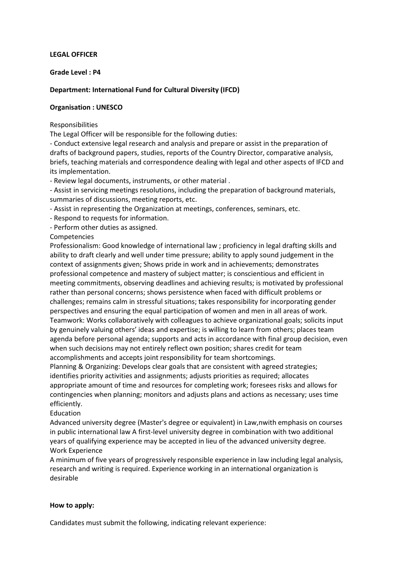### LEGAL OFFICER

### Grade Level : P4

# Department: International Fund for Cultural Diversity (IFCD)

# Organisation : UNESCO

Responsibilities

The Legal Officer will be responsible for the following duties:

- Conduct extensive legal research and analysis and prepare or assist in the preparation of drafts of background papers, studies, reports of the Country Director, comparative analysis, briefs, teaching materials and correspondence dealing with legal and other aspects of IFCD and its implementation.

- Review legal documents, instruments, or other material .

- Assist in servicing meetings resolutions, including the preparation of background materials, summaries of discussions, meeting reports, etc.

- Assist in representing the Organization at meetings, conferences, seminars, etc.

- Respond to requests for information.

- Perform other duties as assigned.

Competencies

Professionalism: Good knowledge of international law ; proficiency in legal drafting skills and ability to draft clearly and well under time pressure; ability to apply sound judgement in the context of assignments given; Shows pride in work and in achievements; demonstrates professional competence and mastery of subject matter; is conscientious and efficient in meeting commitments, observing deadlines and achieving results; is motivated by professional rather than personal concerns; shows persistence when faced with difficult problems or challenges; remains calm in stressful situations; takes responsibility for incorporating gender perspectives and ensuring the equal participation of women and men in all areas of work. Teamwork: Works collaboratively with colleagues to achieve organizational goals; solicits input by genuinely valuing others' ideas and expertise; is willing to learn from others; places team agenda before personal agenda; supports and acts in accordance with final group decision, even when such decisions may not entirely reflect own position; shares credit for team accomplishments and accepts joint responsibility for team shortcomings.

Planning & Organizing: Develops clear goals that are consistent with agreed strategies; identifies priority activities and assignments; adjusts priorities as required; allocates appropriate amount of time and resources for completing work; foresees risks and allows for contingencies when planning; monitors and adjusts plans and actions as necessary; uses time efficiently.

# Education

Advanced university degree (Master's degree or equivalent) in Law,nwith emphasis on courses in public international law A first-level university degree in combination with two additional years of qualifying experience may be accepted in lieu of the advanced university degree. Work Experience

A minimum of five years of progressively responsible experience in law including legal analysis, research and writing is required. Experience working in an international organization is desirable

# How to apply:

Candidates must submit the following, indicating relevant experience: